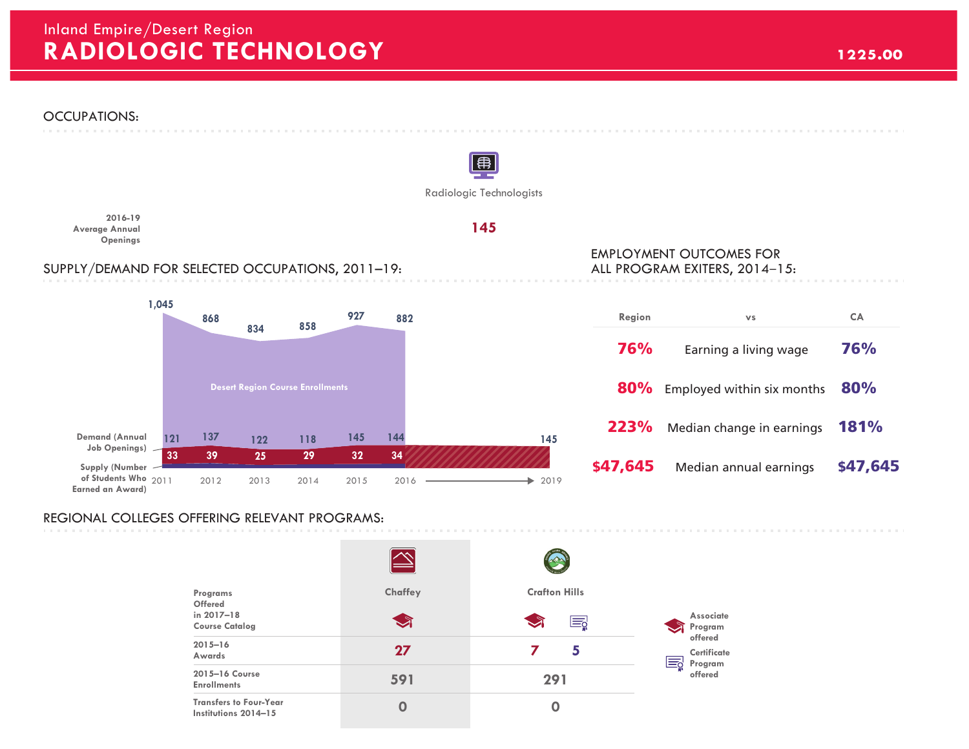## **RADIOLOGIC TECHNOLOGY 1225.00** Inland Empire/Desert Region



## REGIONAL COLLEGES OFFERING RELEVANT PROGRAMS:

| Programs<br><b>Offered</b><br>in 2017-18              | Chaffey | <b>Crafton Hills</b>       | <b>Associate</b>                        |
|-------------------------------------------------------|---------|----------------------------|-----------------------------------------|
| <b>Course Catalog</b>                                 | ্য      | $\blacktriangleright$<br>Ę | Program<br>offered                      |
| $2015 - 16$<br>Awards                                 | 27      | 5                          | Certificate<br>≕ಗ<br>Program<br>offered |
| 2015-16 Course<br><b>Enrollments</b>                  | 591     | 291                        |                                         |
| <b>Transfers to Four-Year</b><br>Institutions 2014-15 | Ω       | 0                          |                                         |